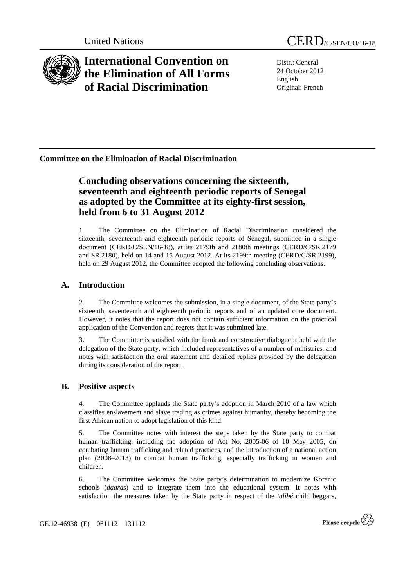

**International Convention on the Elimination of All Forms of Racial Discrimination** 

United Nations CERD/C/SEN/CO/16-18

Distr.: General 24 October 2012 English Original: French

## **Committee on the Elimination of Racial Discrimination**

# **Concluding observations concerning the sixteenth, seventeenth and eighteenth periodic reports of Senegal as adopted by the Committee at its eighty-first session, held from 6 to 31 August 2012**

1. The Committee on the Elimination of Racial Discrimination considered the sixteenth, seventeenth and eighteenth periodic reports of Senegal, submitted in a single document (CERD/C/SEN/16-18), at its 2179th and 2180th meetings (CERD/C/SR.2179 and SR.2180), held on 14 and 15 August 2012. At its 2199th meeting (CERD/C/SR.2199), held on 29 August 2012, the Committee adopted the following concluding observations.

## **A. Introduction**

2. The Committee welcomes the submission, in a single document, of the State party's sixteenth, seventeenth and eighteenth periodic reports and of an updated core document. However, it notes that the report does not contain sufficient information on the practical application of the Convention and regrets that it was submitted late.

3. The Committee is satisfied with the frank and constructive dialogue it held with the delegation of the State party, which included representatives of a number of ministries, and notes with satisfaction the oral statement and detailed replies provided by the delegation during its consideration of the report.

## **B. Positive aspects**

4. The Committee applauds the State party's adoption in March 2010 of a law which classifies enslavement and slave trading as crimes against humanity, thereby becoming the first African nation to adopt legislation of this kind.

5. The Committee notes with interest the steps taken by the State party to combat human trafficking, including the adoption of Act No. 2005-06 of 10 May 2005, on combating human trafficking and related practices, and the introduction of a national action plan (2008–2013) to combat human trafficking, especially trafficking in women and children.

6. The Committee welcomes the State party's determination to modernize Koranic schools (*daaras*) and to integrate them into the educational system. It notes with satisfaction the measures taken by the State party in respect of the *talibé* child beggars,

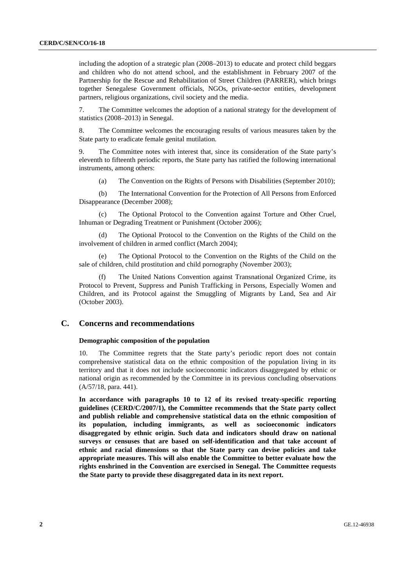including the adoption of a strategic plan (2008–2013) to educate and protect child beggars and children who do not attend school, and the establishment in February 2007 of the Partnership for the Rescue and Rehabilitation of Street Children (PARRER), which brings together Senegalese Government officials, NGOs, private-sector entities, development partners, religious organizations, civil society and the media.

7. The Committee welcomes the adoption of a national strategy for the development of statistics (2008–2013) in Senegal.

8. The Committee welcomes the encouraging results of various measures taken by the State party to eradicate female genital mutilation.

9. The Committee notes with interest that, since its consideration of the State party's eleventh to fifteenth periodic reports, the State party has ratified the following international instruments, among others:

(a) The Convention on the Rights of Persons with Disabilities (September 2010);

 (b) The International Convention for the Protection of All Persons from Enforced Disappearance (December 2008);

 (c) The Optional Protocol to the Convention against Torture and Other Cruel, Inhuman or Degrading Treatment or Punishment (October 2006);

 (d) The Optional Protocol to the Convention on the Rights of the Child on the involvement of children in armed conflict (March 2004);

 (e) The Optional Protocol to the Convention on the Rights of the Child on the sale of children, child prostitution and child pornography (November 2003);

The United Nations Convention against Transnational Organized Crime, its Protocol to Prevent, Suppress and Punish Trafficking in Persons, Especially Women and Children, and its Protocol against the Smuggling of Migrants by Land, Sea and Air (October 2003).

## **C. Concerns and recommendations**

## **Demographic composition of the population**

10. The Committee regrets that the State party's periodic report does not contain comprehensive statistical data on the ethnic composition of the population living in its territory and that it does not include socioeconomic indicators disaggregated by ethnic or national origin as recommended by the Committee in its previous concluding observations (A/57/18, para. 441).

**In accordance with paragraphs 10 to 12 of its revised treaty-specific reporting guidelines (CERD/C/2007/1), the Committee recommends that the State party collect and publish reliable and comprehensive statistical data on the ethnic composition of its population, including immigrants, as well as socioeconomic indicators disaggregated by ethnic origin. Such data and indicators should draw on national surveys or censuses that are based on self-identification and that take account of ethnic and racial dimensions so that the State party can devise policies and take appropriate measures. This will also enable the Committee to better evaluate how the rights enshrined in the Convention are exercised in Senegal. The Committee requests the State party to provide these disaggregated data in its next report.**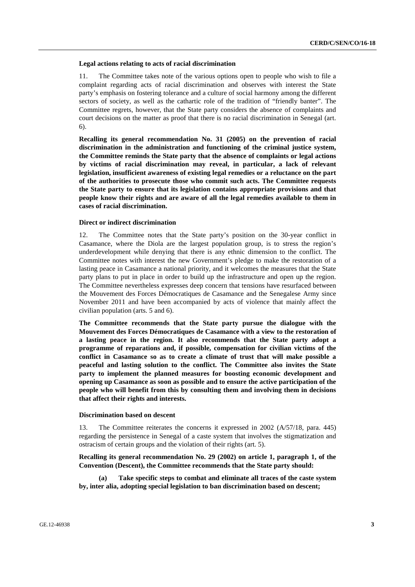#### **Legal actions relating to acts of racial discrimination**

11. The Committee takes note of the various options open to people who wish to file a complaint regarding acts of racial discrimination and observes with interest the State party's emphasis on fostering tolerance and a culture of social harmony among the different sectors of society, as well as the cathartic role of the tradition of "friendly banter". The Committee regrets, however, that the State party considers the absence of complaints and court decisions on the matter as proof that there is no racial discrimination in Senegal (art. 6).

**Recalling its general recommendation No. 31 (2005) on the prevention of racial discrimination in the administration and functioning of the criminal justice system, the Committee reminds the State party that the absence of complaints or legal actions by victims of racial discrimination may reveal, in particular, a lack of relevant legislation, insufficient awareness of existing legal remedies or a reluctance on the part of the authorities to prosecute those who commit such acts. The Committee requests the State party to ensure that its legislation contains appropriate provisions and that people know their rights and are aware of all the legal remedies available to them in cases of racial discrimination.** 

#### **Direct or indirect discrimination**

12. The Committee notes that the State party's position on the 30-year conflict in Casamance, where the Diola are the largest population group, is to stress the region's underdevelopment while denying that there is any ethnic dimension to the conflict. The Committee notes with interest the new Government's pledge to make the restoration of a lasting peace in Casamance a national priority, and it welcomes the measures that the State party plans to put in place in order to build up the infrastructure and open up the region. The Committee nevertheless expresses deep concern that tensions have resurfaced between the Mouvement des Forces Démocratiques de Casamance and the Senegalese Army since November 2011 and have been accompanied by acts of violence that mainly affect the civilian population (arts. 5 and 6).

**The Committee recommends that the State party pursue the dialogue with the Mouvement des Forces Démocratiques de Casamance with a view to the restoration of a lasting peace in the region. It also recommends that the State party adopt a programme of reparations and, if possible, compensation for civilian victims of the conflict in Casamance so as to create a climate of trust that will make possible a peaceful and lasting solution to the conflict. The Committee also invites the State party to implement the planned measures for boosting economic development and opening up Casamance as soon as possible and to ensure the active participation of the people who will benefit from this by consulting them and involving them in decisions that affect their rights and interests.** 

### **Discrimination based on descent**

13. The Committee reiterates the concerns it expressed in 2002 (A/57/18, para. 445) regarding the persistence in Senegal of a caste system that involves the stigmatization and ostracism of certain groups and the violation of their rights (art. 5).

**Recalling its general recommendation No. 29 (2002) on article 1, paragraph 1, of the Convention (Descent), the Committee recommends that the State party should:** 

 **(a) Take specific steps to combat and eliminate all traces of the caste system by, inter alia, adopting special legislation to ban discrimination based on descent;**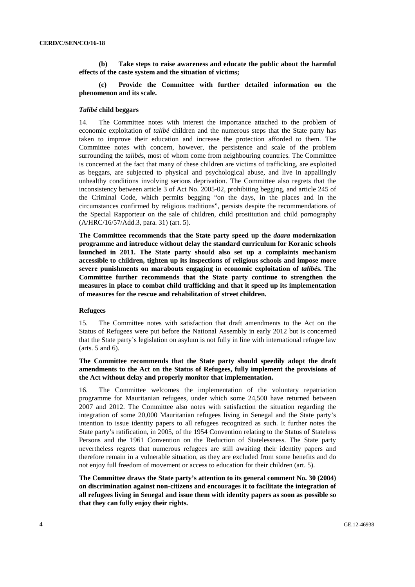**(b) Take steps to raise awareness and educate the public about the harmful effects of the caste system and the situation of victims;** 

 **(c) Provide the Committee with further detailed information on the phenomenon and its scale.** 

#### *Talibé* **child beggars**

14. The Committee notes with interest the importance attached to the problem of economic exploitation of *talibé* children and the numerous steps that the State party has taken to improve their education and increase the protection afforded to them. The Committee notes with concern, however, the persistence and scale of the problem surrounding the *talibé*s, most of whom come from neighbouring countries. The Committee is concerned at the fact that many of these children are victims of trafficking, are exploited as beggars, are subjected to physical and psychological abuse, and live in appallingly unhealthy conditions involving serious deprivation. The Committee also regrets that the inconsistency between article 3 of Act No. 2005-02, prohibiting begging, and article 245 of the Criminal Code, which permits begging "on the days, in the places and in the circumstances confirmed by religious traditions", persists despite the recommendations of the Special Rapporteur on the sale of children, child prostitution and child pornography (A/HRC/16/57/Add.3, para. 31) (art. 5).

**The Committee recommends that the State party speed up the** *daara* **modernization programme and introduce without delay the standard curriculum for Koranic schools launched in 2011. The State party should also set up a complaints mechanism accessible to children, tighten up its inspections of religious schools and impose more severe punishments on marabouts engaging in economic exploitation of** *talibé***s. The Committee further recommends that the State party continue to strengthen the measures in place to combat child trafficking and that it speed up its implementation of measures for the rescue and rehabilitation of street children.** 

#### **Refugees**

15. The Committee notes with satisfaction that draft amendments to the Act on the Status of Refugees were put before the National Assembly in early 2012 but is concerned that the State party's legislation on asylum is not fully in line with international refugee law (arts. 5 and 6).

## **The Committee recommends that the State party should speedily adopt the draft amendments to the Act on the Status of Refugees, fully implement the provisions of the Act without delay and properly monitor that implementation.**

16. The Committee welcomes the implementation of the voluntary repatriation programme for Mauritanian refugees, under which some 24,500 have returned between 2007 and 2012. The Committee also notes with satisfaction the situation regarding the integration of some 20,000 Mauritanian refugees living in Senegal and the State party's intention to issue identity papers to all refugees recognized as such. It further notes the State party's ratification, in 2005, of the 1954 Convention relating to the Status of Stateless Persons and the 1961 Convention on the Reduction of Statelessness. The State party nevertheless regrets that numerous refugees are still awaiting their identity papers and therefore remain in a vulnerable situation, as they are excluded from some benefits and do not enjoy full freedom of movement or access to education for their children (art. 5).

**The Committee draws the State party's attention to its general comment No. 30 (2004) on discrimination against non-citizens and encourages it to facilitate the integration of all refugees living in Senegal and issue them with identity papers as soon as possible so that they can fully enjoy their rights.**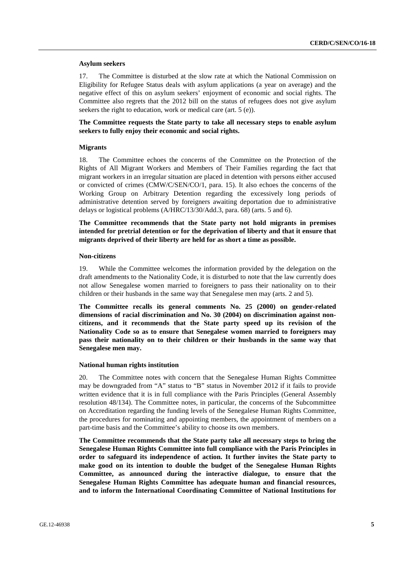#### **Asylum seekers**

17. The Committee is disturbed at the slow rate at which the National Commission on Eligibility for Refugee Status deals with asylum applications (a year on average) and the negative effect of this on asylum seekers' enjoyment of economic and social rights. The Committee also regrets that the 2012 bill on the status of refugees does not give asylum seekers the right to education, work or medical care (art. 5 (e)).

## **The Committee requests the State party to take all necessary steps to enable asylum seekers to fully enjoy their economic and social rights.**

#### **Migrants**

18. The Committee echoes the concerns of the Committee on the Protection of the Rights of All Migrant Workers and Members of Their Families regarding the fact that migrant workers in an irregular situation are placed in detention with persons either accused or convicted of crimes (CMW/C/SEN/CO/1, para. 15). It also echoes the concerns of the Working Group on Arbitrary Detention regarding the excessively long periods of administrative detention served by foreigners awaiting deportation due to administrative delays or logistical problems (A/HRC/13/30/Add.3, para. 68) (arts. 5 and 6).

**The Committee recommends that the State party not hold migrants in premises intended for pretrial detention or for the deprivation of liberty and that it ensure that migrants deprived of their liberty are held for as short a time as possible.** 

#### **Non-citizens**

19. While the Committee welcomes the information provided by the delegation on the draft amendments to the Nationality Code, it is disturbed to note that the law currently does not allow Senegalese women married to foreigners to pass their nationality on to their children or their husbands in the same way that Senegalese men may (arts. 2 and 5).

**The Committee recalls its general comments No. 25 (2000) on gender-related dimensions of racial discrimination and No. 30 (2004) on discrimination against noncitizens, and it recommends that the State party speed up its revision of the Nationality Code so as to ensure that Senegalese women married to foreigners may pass their nationality on to their children or their husbands in the same way that Senegalese men may.** 

#### **National human rights institution**

20. The Committee notes with concern that the Senegalese Human Rights Committee may be downgraded from "A" status to "B" status in November 2012 if it fails to provide written evidence that it is in full compliance with the Paris Principles (General Assembly resolution 48/134). The Committee notes, in particular, the concerns of the Subcommittee on Accreditation regarding the funding levels of the Senegalese Human Rights Committee, the procedures for nominating and appointing members, the appointment of members on a part-time basis and the Committee's ability to choose its own members.

**The Committee recommends that the State party take all necessary steps to bring the Senegalese Human Rights Committee into full compliance with the Paris Principles in order to safeguard its independence of action. It further invites the State party to make good on its intention to double the budget of the Senegalese Human Rights Committee, as announced during the interactive dialogue, to ensure that the Senegalese Human Rights Committee has adequate human and financial resources, and to inform the International Coordinating Committee of National Institutions for**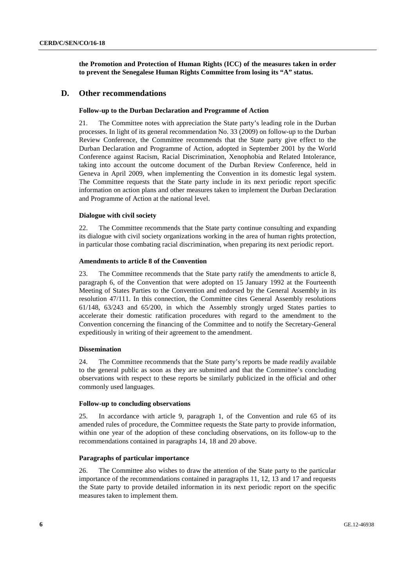**the Promotion and Protection of Human Rights (ICC) of the measures taken in order to prevent the Senegalese Human Rights Committee from losing its "A" status.** 

## **D. Other recommendations**

### **Follow-up to the Durban Declaration and Programme of Action**

21. The Committee notes with appreciation the State party's leading role in the Durban processes. In light of its general recommendation No. 33 (2009) on follow-up to the Durban Review Conference, the Committee recommends that the State party give effect to the Durban Declaration and Programme of Action, adopted in September 2001 by the World Conference against Racism, Racial Discrimination, Xenophobia and Related Intolerance, taking into account the outcome document of the Durban Review Conference, held in Geneva in April 2009, when implementing the Convention in its domestic legal system. The Committee requests that the State party include in its next periodic report specific information on action plans and other measures taken to implement the Durban Declaration and Programme of Action at the national level.

## **Dialogue with civil society**

22. The Committee recommends that the State party continue consulting and expanding its dialogue with civil society organizations working in the area of human rights protection, in particular those combating racial discrimination, when preparing its next periodic report.

### **Amendments to article 8 of the Convention**

23. The Committee recommends that the State party ratify the amendments to article 8, paragraph 6, of the Convention that were adopted on 15 January 1992 at the Fourteenth Meeting of States Parties to the Convention and endorsed by the General Assembly in its resolution 47/111. In this connection, the Committee cites General Assembly resolutions 61/148, 63/243 and 65/200, in which the Assembly strongly urged States parties to accelerate their domestic ratification procedures with regard to the amendment to the Convention concerning the financing of the Committee and to notify the Secretary-General expeditiously in writing of their agreement to the amendment.

## **Dissemination**

24. The Committee recommends that the State party's reports be made readily available to the general public as soon as they are submitted and that the Committee's concluding observations with respect to these reports be similarly publicized in the official and other commonly used languages.

## **Follow-up to concluding observations**

25. In accordance with article 9, paragraph 1, of the Convention and rule 65 of its amended rules of procedure, the Committee requests the State party to provide information, within one year of the adoption of these concluding observations, on its follow-up to the recommendations contained in paragraphs 14, 18 and 20 above.

### **Paragraphs of particular importance**

26. The Committee also wishes to draw the attention of the State party to the particular importance of the recommendations contained in paragraphs 11, 12, 13 and 17 and requests the State party to provide detailed information in its next periodic report on the specific measures taken to implement them.